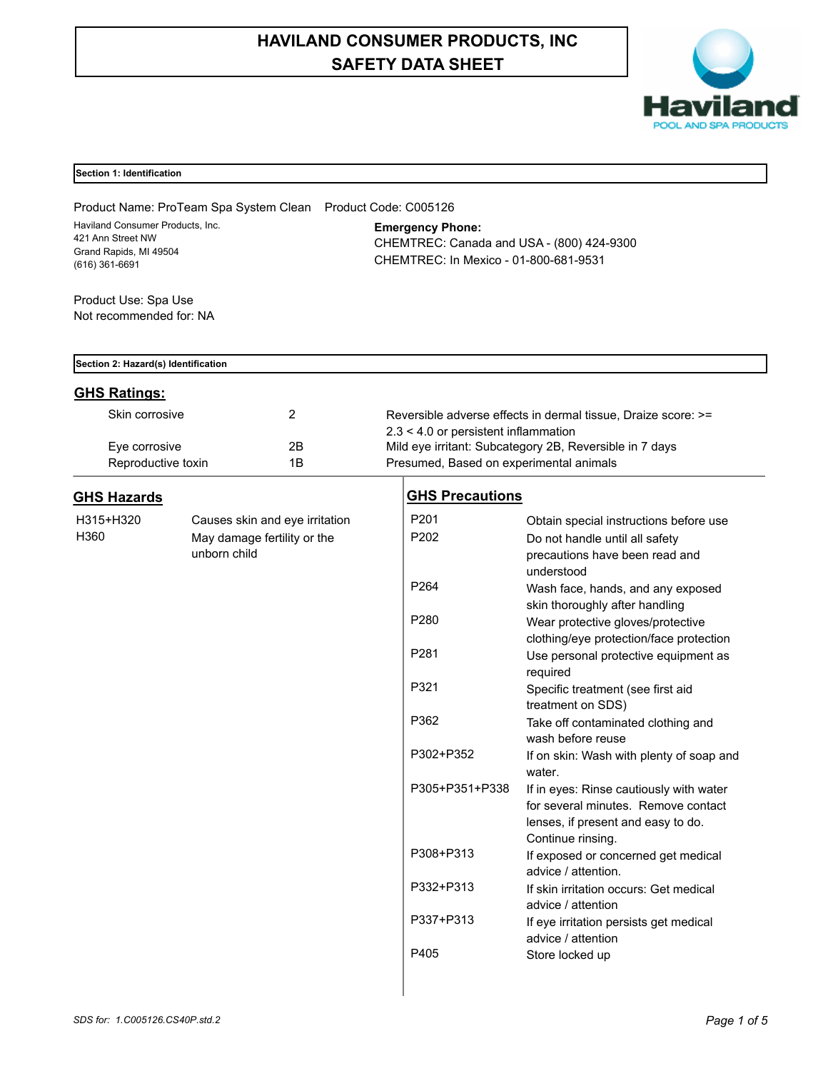# **HAVILAND CONSUMER PRODUCTS, INC SAFETY DATA SHEET**



| Section 1: Identification |  |  |  |
|---------------------------|--|--|--|
|---------------------------|--|--|--|

| Product Name: ProTeam Spa System Clean                                                            |                                                 |                                                                                                               | Product Code: C005126                                                                              |                                                                                                                                           |  |  |
|---------------------------------------------------------------------------------------------------|-------------------------------------------------|---------------------------------------------------------------------------------------------------------------|----------------------------------------------------------------------------------------------------|-------------------------------------------------------------------------------------------------------------------------------------------|--|--|
| Haviland Consumer Products, Inc.<br>421 Ann Street NW<br>Grand Rapids, MI 49504<br>(616) 361-6691 |                                                 | <b>Emergency Phone:</b><br>CHEMTREC: Canada and USA - (800) 424-9300<br>CHEMTREC: In Mexico - 01-800-681-9531 |                                                                                                    |                                                                                                                                           |  |  |
| Product Use: Spa Use                                                                              |                                                 |                                                                                                               |                                                                                                    |                                                                                                                                           |  |  |
| Not recommended for: NA                                                                           |                                                 |                                                                                                               |                                                                                                    |                                                                                                                                           |  |  |
| Section 2: Hazard(s) Identification                                                               |                                                 |                                                                                                               |                                                                                                    |                                                                                                                                           |  |  |
| <b>GHS Ratings:</b>                                                                               |                                                 |                                                                                                               |                                                                                                    |                                                                                                                                           |  |  |
| Skin corrosive                                                                                    |                                                 | $\overline{2}$                                                                                                |                                                                                                    | Reversible adverse effects in dermal tissue, Draize score: >=                                                                             |  |  |
|                                                                                                   |                                                 |                                                                                                               | $2.3 < 4.0$ or persistent inflammation                                                             |                                                                                                                                           |  |  |
|                                                                                                   | 2B<br>Eye corrosive<br>1B<br>Reproductive toxin |                                                                                                               | Mild eye irritant: Subcategory 2B, Reversible in 7 days<br>Presumed, Based on experimental animals |                                                                                                                                           |  |  |
| <b>GHS Hazards</b>                                                                                |                                                 |                                                                                                               | <b>GHS Precautions</b>                                                                             |                                                                                                                                           |  |  |
| H315+H320                                                                                         |                                                 | Causes skin and eye irritation                                                                                | P201                                                                                               | Obtain special instructions before use                                                                                                    |  |  |
| H360                                                                                              | unborn child                                    | May damage fertility or the                                                                                   | P202                                                                                               | Do not handle until all safety<br>precautions have been read and<br>understood                                                            |  |  |
|                                                                                                   |                                                 |                                                                                                               | P <sub>264</sub>                                                                                   | Wash face, hands, and any exposed<br>skin thoroughly after handling                                                                       |  |  |
|                                                                                                   |                                                 |                                                                                                               | P280                                                                                               | Wear protective gloves/protective<br>clothing/eye protection/face protection                                                              |  |  |
|                                                                                                   |                                                 |                                                                                                               | P281                                                                                               | Use personal protective equipment as<br>required                                                                                          |  |  |
|                                                                                                   |                                                 |                                                                                                               | P321                                                                                               | Specific treatment (see first aid<br>treatment on SDS)                                                                                    |  |  |
|                                                                                                   |                                                 |                                                                                                               | P362                                                                                               | Take off contaminated clothing and<br>wash before reuse                                                                                   |  |  |
|                                                                                                   |                                                 |                                                                                                               | P302+P352                                                                                          | If on skin: Wash with plenty of soap and<br>water.                                                                                        |  |  |
|                                                                                                   |                                                 |                                                                                                               | P305+P351+P338                                                                                     | If in eyes: Rinse cautiously with water<br>for several minutes. Remove contact<br>lenses, if present and easy to do.<br>Continue rinsing. |  |  |
|                                                                                                   |                                                 |                                                                                                               | P308+P313                                                                                          | If exposed or concerned get medical<br>advice / attention.                                                                                |  |  |
|                                                                                                   |                                                 |                                                                                                               | P332+P313                                                                                          | If skin irritation occurs: Get medical<br>advice / attention                                                                              |  |  |
|                                                                                                   |                                                 |                                                                                                               | P337+P313                                                                                          | If eye irritation persists get medical<br>advice / attention                                                                              |  |  |
|                                                                                                   |                                                 |                                                                                                               | P405                                                                                               | Store locked up                                                                                                                           |  |  |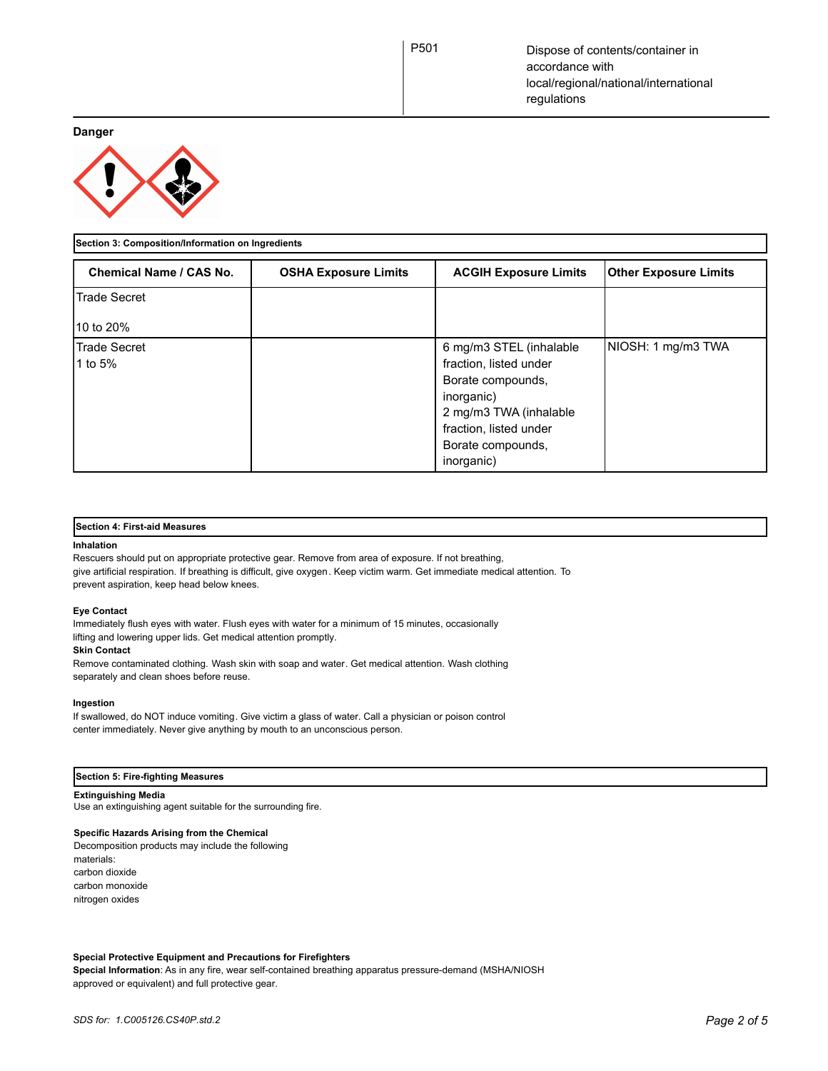**Danger**



## **Section 3: Composition/Information on Ingredients**

| Chemical Name / CAS No. | <b>OSHA Exposure Limits</b> | <b>ACGIH Exposure Limits</b>                                                                                                                                                | <b>Other Exposure Limits</b> |
|-------------------------|-----------------------------|-----------------------------------------------------------------------------------------------------------------------------------------------------------------------------|------------------------------|
| Trade Secret            |                             |                                                                                                                                                                             |                              |
| 10 to 20%               |                             |                                                                                                                                                                             |                              |
| Trade Secret<br>1 to 5% |                             | 6 mg/m3 STEL (inhalable<br>fraction, listed under<br>Borate compounds,<br>inorganic)<br>2 mg/m3 TWA (inhalable<br>fraction, listed under<br>Borate compounds,<br>inorganic) | NIOSH: 1 mg/m3 TWA           |

## **Section 4: First-aid Measures**

#### **Inhalation**

Rescuers should put on appropriate protective gear. Remove from area of exposure. If not breathing, give artificial respiration. If breathing is difficult, give oxygen. Keep victim warm. Get immediate medical attention. To prevent aspiration, keep head below knees.

## **Eye Contact**

Immediately flush eyes with water. Flush eyes with water for a minimum of 15 minutes, occasionally lifting and lowering upper lids. Get medical attention promptly.

#### **Skin Contact**

Remove contaminated clothing. Wash skin with soap and water. Get medical attention. Wash clothing separately and clean shoes before reuse.

#### **Ingestion**

If swallowed, do NOT induce vomiting. Give victim a glass of water. Call a physician or poison control center immediately. Never give anything by mouth to an unconscious person.

#### **Section 5: Fire-fighting Measures**

## **Extinguishing Media**

Use an extinguishing agent suitable for the surrounding fire.

## **Specific Hazards Arising from the Chemical**

Decomposition products may include the following materials: carbon dioxide carbon monoxide nitrogen oxides

## **Special Protective Equipment and Precautions for Firefighters**

**Special Information**: As in any fire, wear self-contained breathing apparatus pressure-demand (MSHA/NIOSH approved or equivalent) and full protective gear.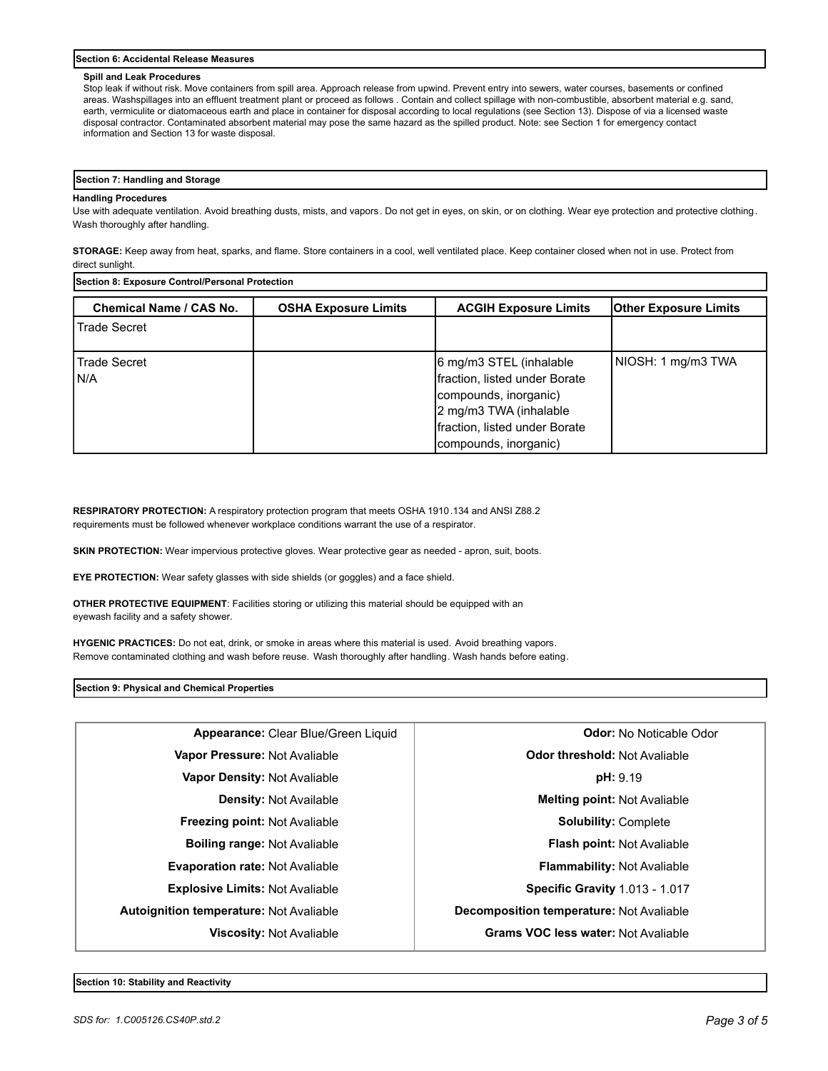#### **Section 6: Accidental Release Measures**

#### **Spill and Leak Procedures**

Stop leak if without risk. Move containers from spill area. Approach release from upwind. Prevent entry into sewers, water courses, basements or confined areas. Washspillages into an effluent treatment plant or proceed as follows . Contain and collect spillage with non-combustible, absorbent material e.g. sand, earth, vermiculite or diatomaceous earth and place in container for disposal according to local regulations (see Section 13). Dispose of via a licensed waste disposal contractor. Contaminated absorbent material may pose the same hazard as the spilled product. Note: see Section 1 for emergency contact information and Section 13 for waste disposal.

# **Section 7: Handling and Storage**

#### **Handling Procedures**

Use with adequate ventilation. Avoid breathing dusts, mists, and vapors. Do not get in eyes, on skin, or on clothing. Wear eye protection and protective clothing. Wash thoroughly after handling.

**STORAGE:** Keep away from heat, sparks, and flame. Store containers in a cool, well ventilated place. Keep container closed when not in use. Protect from direct sunlight.

**Section 8: Exposure Control/Personal Protection** 

| <b>Chemical Name / CAS No.</b> | <b>OSHA Exposure Limits</b> | <b>ACGIH Exposure Limits</b>                                                                                                                                          | <b>Other Exposure Limits</b> |
|--------------------------------|-----------------------------|-----------------------------------------------------------------------------------------------------------------------------------------------------------------------|------------------------------|
| <b>Trade Secret</b>            |                             |                                                                                                                                                                       |                              |
| <b>Trade Secret</b><br>I N/A   |                             | 6 mg/m3 STEL (inhalable<br>fraction, listed under Borate<br>compounds, inorganic)<br>2 mg/m3 TWA (inhalable<br>fraction, listed under Borate<br>compounds, inorganic) | NIOSH: 1 mg/m3 TWA           |

**RESPIRATORY PROTECTION:** A respiratory protection program that meets OSHA 1910.134 and ANSI Z88.2 requirements must be followed whenever workplace conditions warrant the use of a respirator.

SKIN PROTECTION: Wear impervious protective gloves. Wear protective gear as needed - apron, suit, boots.

**EYE PROTECTION:** Wear safety glasses with side shields (or goggles) and a face shield.

**OTHER PROTECTIVE EQUIPMENT**: Facilities storing or utilizing this material should be equipped with an eyewash facility and a safety shower.

**HYGENIC PRACTICES:** Do not eat, drink, or smoke in areas where this material is used. Avoid breathing vapors. Remove contaminated clothing and wash before reuse. Wash thoroughly after handling. Wash hands before eating.

**Section 9: Physical and Chemical Properties**

| <b>Odor threshold: Not Avaliable</b><br>Vapor Pressure: Not Avaliable<br>pH: 9.19<br>Vapor Density: Not Avaliable<br>Melting point: Not Avaliable<br><b>Density: Not Available</b><br><b>Freezing point: Not Avaliable</b><br><b>Solubility: Complete</b><br><b>Boiling range: Not Avaliable</b><br><b>Flash point: Not Avaliable</b><br>Evaporation rate: Not Avaliable<br><b>Flammability: Not Avaliable</b><br><b>Explosive Limits: Not Avaliable</b><br><b>Specific Gravity 1.013 - 1.017</b><br><b>Autoignition temperature: Not Avaliable</b><br><b>Decomposition temperature: Not Avaliable</b><br><b>Grams VOC less water: Not Avaliable</b> | Appearance: Clear Blue/Green Liquid | <b>Odor:</b> No Noticable Odor |
|------------------------------------------------------------------------------------------------------------------------------------------------------------------------------------------------------------------------------------------------------------------------------------------------------------------------------------------------------------------------------------------------------------------------------------------------------------------------------------------------------------------------------------------------------------------------------------------------------------------------------------------------------|-------------------------------------|--------------------------------|
|                                                                                                                                                                                                                                                                                                                                                                                                                                                                                                                                                                                                                                                      |                                     |                                |
|                                                                                                                                                                                                                                                                                                                                                                                                                                                                                                                                                                                                                                                      |                                     |                                |
|                                                                                                                                                                                                                                                                                                                                                                                                                                                                                                                                                                                                                                                      |                                     |                                |
|                                                                                                                                                                                                                                                                                                                                                                                                                                                                                                                                                                                                                                                      |                                     |                                |
|                                                                                                                                                                                                                                                                                                                                                                                                                                                                                                                                                                                                                                                      |                                     |                                |
|                                                                                                                                                                                                                                                                                                                                                                                                                                                                                                                                                                                                                                                      |                                     |                                |
|                                                                                                                                                                                                                                                                                                                                                                                                                                                                                                                                                                                                                                                      |                                     |                                |
|                                                                                                                                                                                                                                                                                                                                                                                                                                                                                                                                                                                                                                                      |                                     |                                |
|                                                                                                                                                                                                                                                                                                                                                                                                                                                                                                                                                                                                                                                      | <b>Viscosity: Not Avaliable</b>     |                                |

**Section 10: Stability and Reactivity**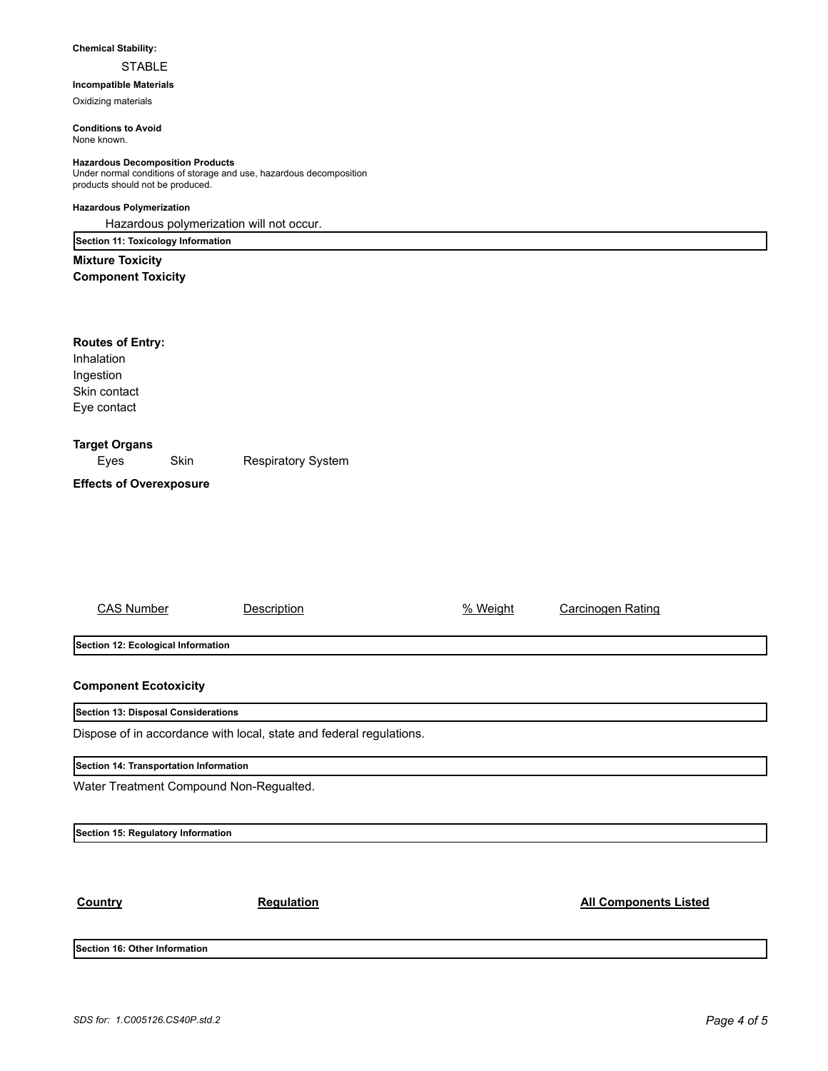## **Chemical Stability:**

# STABLE

# **Incompatible Materials**

Oxidizing materials

**Conditions to Avoid** None known.

## **Hazardous Decomposition Products**

Under normal conditions of storage and use, hazardous decomposition products should not be produced.

# **Hazardous Polymerization**

Hazardous polymerization will not occur.

**Section 11: Toxicology Information Mixture Toxicity**

**Component Toxicity**

| <b>Routes of Entry:</b>        |      |                           |  |  |
|--------------------------------|------|---------------------------|--|--|
| Inhalation                     |      |                           |  |  |
| Ingestion                      |      |                           |  |  |
| Skin contact                   |      |                           |  |  |
| Eye contact                    |      |                           |  |  |
| <b>Target Organs</b>           |      |                           |  |  |
| Eyes                           | Skin | <b>Respiratory System</b> |  |  |
| <b>Effects of Overexposure</b> |      |                           |  |  |
|                                |      |                           |  |  |
|                                |      |                           |  |  |
|                                |      |                           |  |  |

| <b>CAS Number</b>                                                   | Description | % Weight | Carcinogen Rating |  |  |  |
|---------------------------------------------------------------------|-------------|----------|-------------------|--|--|--|
|                                                                     |             |          |                   |  |  |  |
| Section 12: Ecological Information                                  |             |          |                   |  |  |  |
| <b>Component Ecotoxicity</b>                                        |             |          |                   |  |  |  |
| Section 13: Disposal Considerations                                 |             |          |                   |  |  |  |
| Dispose of in accordance with local, state and federal regulations. |             |          |                   |  |  |  |
| Section 14: Transportation Information                              |             |          |                   |  |  |  |

Water Treatment Compound Non-Regualted.

**Section 15: Regulatory Information**

**Country Country Regulation Regulation Regulation All Components Listed** 

**Section 16: Other Information**